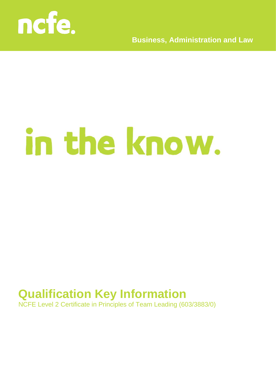

**Business, Administration and Law**

# in the know.

## **Qualification Key Information**

NCFE Level 2 Certificate in Principles of Team Leading (603/3883/0)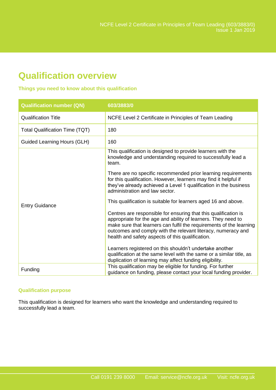### **Qualification overview**

#### **Things you need to know about this qualification**

| <b>Qualification number (QN)</b>      | 603/3883/0                                                                                                                                                                                                                                                                                                                  |
|---------------------------------------|-----------------------------------------------------------------------------------------------------------------------------------------------------------------------------------------------------------------------------------------------------------------------------------------------------------------------------|
| <b>Qualification Title</b>            | NCFE Level 2 Certificate in Principles of Team Leading                                                                                                                                                                                                                                                                      |
| <b>Total Qualification Time (TQT)</b> | 180                                                                                                                                                                                                                                                                                                                         |
| <b>Guided Learning Hours (GLH)</b>    | 160                                                                                                                                                                                                                                                                                                                         |
| <b>Entry Guidance</b>                 | This qualification is designed to provide learners with the<br>knowledge and understanding required to successfully lead a<br>team.                                                                                                                                                                                         |
|                                       | There are no specific recommended prior learning requirements<br>for this qualification. However, learners may find it helpful if<br>they've already achieved a Level 1 qualification in the business<br>administration and law sector.                                                                                     |
|                                       | This qualification is suitable for learners aged 16 and above.                                                                                                                                                                                                                                                              |
|                                       | Centres are responsible for ensuring that this qualification is<br>appropriate for the age and ability of learners. They need to<br>make sure that learners can fulfil the requirements of the learning<br>outcomes and comply with the relevant literacy, numeracy and<br>health and safety aspects of this qualification. |
|                                       | Learners registered on this shouldn't undertake another<br>qualification at the same level with the same or a similar title, as<br>duplication of learning may affect funding eligibility.                                                                                                                                  |
| Funding                               | This qualification may be eligible for funding. For further<br>guidance on funding, please contact your local funding provider.                                                                                                                                                                                             |

#### **Qualification purpose**

This qualification is designed for learners who want the knowledge and understanding required to successfully lead a team.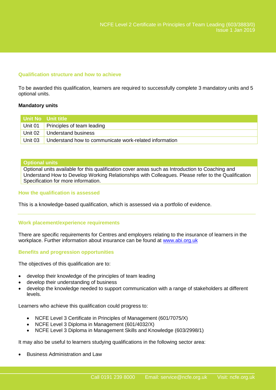#### **Qualification structure and how to achieve**

To be awarded this qualification, learners are required to successfully complete 3 mandatory units and 5 optional units.

#### **Mandatory units**

|         | l Unit No Unit title                                   |
|---------|--------------------------------------------------------|
|         | Unit 01 Principles of team leading                     |
|         | Unit 02 Understand business                            |
| Unit 03 | Understand how to communicate work-related information |

#### **Optional units**

Optional units available for this qualification cover areas such as Introduction to Coaching and Understand How to Develop Working Relationships with Colleagues. Please refer to the Qualification Specification for more information.

#### **How the qualification is assessed**

This is a knowledge-based qualification, which is assessed via a portfolio of evidence.

#### **Work placement/experience requirements**

There are specific requirements for Centres and employers relating to the insurance of learners in the workplace. Further information about insurance can be found at [www.abi.org.uk](http://www.abi.org.uk/)

#### **Benefits and progression opportunities**

The objectives of this qualification are to:

- develop their knowledge of the principles of team leading
- develop their understanding of business
- develop the knowledge needed to support communication with a range of stakeholders at different levels.

Learners who achieve this qualification could progress to:

- NCFE Level 3 Certificate in Principles of Management (601/7075/X)
- NCFE Level 3 Diploma in Management (601/4032/X)
- NCFE Level 3 Diploma in Management Skills and Knowledge (603/2998/1)

It may also be useful to learners studying qualifications in the following sector area:

Business Administration and Law